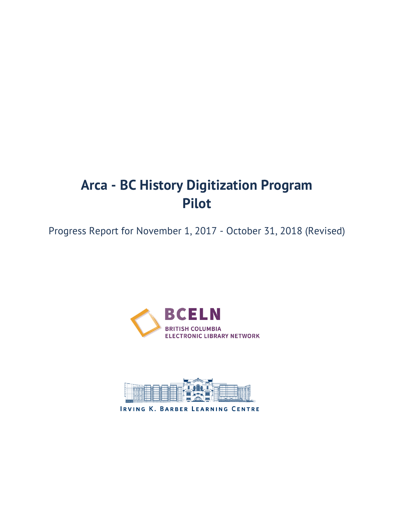# **Arca - BC History Digitization Program Pilot**

Progress Report for November 1, 2017 - October 31, 2018 (Revised)





IRVING K. BARBER LEARNING CENTRE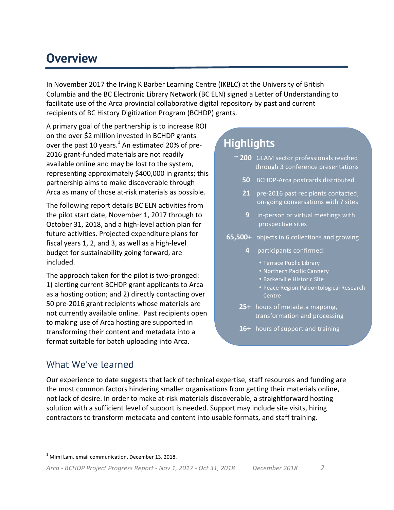## **Overview**

In November 2017 the Irving K Barber Learning Centre (IKBLC) at the University of British Columbia and the BC Electronic Library Network (BC ELN) signed a Letter of Understanding to facilitate use of the Arca provincial collaborative digital repository by past and current recipients of BC History Digitization Program (BCHDP) grants.

A primary goal of the partnership is to increase ROI on the over \$2 million invested in BCHDP grants over the past 10 years.<sup>1</sup> An estimated 20% of pre-2016 grant-funded materials are not readily available online and may be lost to the system, representing approximately \$400,000 in grants; this partnership aims to make discoverable through Arca as many of those at-risk materials as possible.

The following report details BC ELN activities from the pilot start date, November 1, 2017 through to October 31, 2018, and a high-level action plan for future activities. Projected expenditure plans for fiscal years 1, 2, and 3, as well as a high-level budget for sustainability going forward, are included.

The approach taken for the pilot is two-pronged: 1) alerting current BCHDP grant applicants to Arca as a hosting option; and 2) directly contacting over 50 pre-2016 grant recipients whose materials are not currently available online. Past recipients open to making use of Arca hosting are supported in transforming their content and metadata into a format suitable for batch uploading into Arca.

## **Highlights**

- **~ 200** GLAM sector professionals reached through 3 conference presentations
	- **50** BCHDP-Arca postcards distributed
	- **21** pre-2016 past recipients contacted, on-going conversations with 7 sites
	- **9** in-person or virtual meetings with prospective sites
- **65,500+** objects in 6 collections and growing
	- **4** participants confirmed:
		- Terrace Public Library
		- Northern Pacific Cannery
		- Barkerville Historic Site
		- Peace Region Paleontological Research Centre
	- 25+ hours of metadata mapping, transformation and processing
	- 16+ hours of support and training

### What We've learned

 

Our experience to date suggests that lack of technical expertise, staff resources and funding are the most common factors hindering smaller organisations from getting their materials online, not lack of desire. In order to make at-risk materials discoverable, a straightforward hosting solution with a sufficient level of support is needed. Support may include site visits, hiring contractors to transform metadata and content into usable formats, and staff training.

 $1$  Mimi Lam, email communication, December 13, 2018.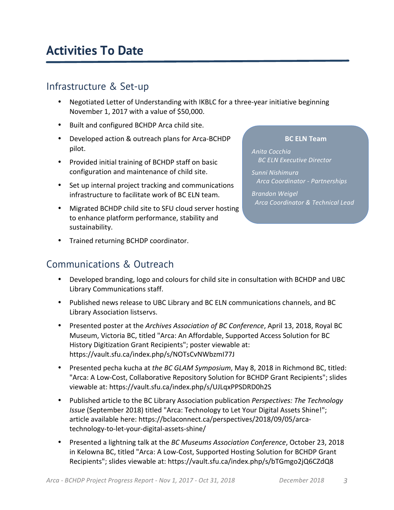## **Activities To Date**

### Infrastructure & Set-up

- Negotiated Letter of Understanding with IKBLC for a three-year initiative beginning November 1, 2017 with a value of \$50,000.
- Built and configured BCHDP Arca child site.
- Developed action & outreach plans for Arca-BCHDP pilot.
- Provided initial training of BCHDP staff on basic configuration and maintenance of child site.
- Set up internal project tracking and communications infrastructure to facilitate work of BC ELN team.
- Migrated BCHDP child site to SFU cloud server hosting to enhance platform performance, stability and sustainability.
- Trained returning BCHDP coordinator.

### Communications & Outreach

- Developed branding, logo and colours for child site in consultation with BCHDP and UBC Library Communications staff.
- Published news release to UBC Library and BC ELN communications channels, and BC Library Association listservs.
- Presented poster at the *Archives Association of BC Conference*, April 13, 2018, Royal BC Museum, Victoria BC, titled "Arca: An Affordable, Supported Access Solution for BC History Digitization Grant Recipients"; poster viewable at: https://vault.sfu.ca/index.php/s/NOTsCvNWbzmI77J
- Presented pecha kucha at the BC GLAM Symposium, May 8, 2018 in Richmond BC, titled: "Arca: A Low-Cost, Collaborative Repository Solution for BCHDP Grant Recipients"; slides viewable at: https://vault.sfu.ca/index.php/s/UJLqxPPSDRD0h2S
- Published article to the BC Library Association publication *Perspectives: The Technology Issue* (September 2018) titled "Arca: Technology to Let Your Digital Assets Shine!"; article available here: https://bclaconnect.ca/perspectives/2018/09/05/arcatechnology-to-let-your-digital-assets-shine/
- Presented a lightning talk at the *BC Museums Association Conference*, October 23, 2018 in Kelowna BC, titled "Arca: A Low-Cost, Supported Hosting Solution for BCHDP Grant Recipients"; slides viewable at: https://vault.sfu.ca/index.php/s/bTGmgo2jQ6CZdQ8

#### **BC ELN Team**

*Anita Cocchia* **BC ELN Executive Director** *Sunni Nishimura Arca Coordinator - Partnerships Brandon Weigel Arca Coordinator & Technical Lead*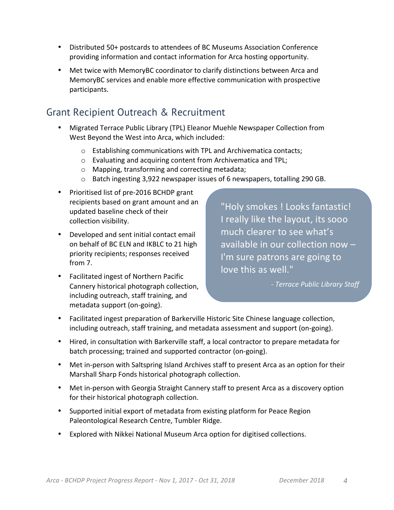- Distributed 50+ postcards to attendees of BC Museums Association Conference providing information and contact information for Arca hosting opportunity.
- Met twice with MemoryBC coordinator to clarify distinctions between Arca and MemoryBC services and enable more effective communication with prospective participants.

### Grant Recipient Outreach & Recruitment

- Migrated Terrace Public Library (TPL) Eleanor Muehle Newspaper Collection from West Beyond the West into Arca, which included:
	- $\circ$  Establishing communications with TPL and Archivematica contacts;
	- $\circ$  Evaluating and acquiring content from Archivematica and TPL;
	- o Mapping, transforming and correcting metadata;
	- $\circ$  Batch ingesting 3,922 newspaper issues of 6 newspapers, totalling 290 GB.
- Prioritised list of pre-2016 BCHDP grant recipients based on grant amount and an updated baseline check of their collection visibility.
- Developed and sent initial contact email on behalf of BC ELN and IKBLC to 21 high priority recipients; responses received from 7.
- Facilitated ingest of Northern Pacific Cannery historical photograph collection, including outreach, staff training, and metadata support (on-going).

"Holy smokes ! Looks fantastic! I really like the layout, its sooo much clearer to see what's available in our collection now  $-$ I'm sure patrons are going to love this as well."

*- Terrace Public Library Staff*

- Facilitated ingest preparation of Barkerville Historic Site Chinese language collection, including outreach, staff training, and metadata assessment and support (on-going).
- Hired, in consultation with Barkerville staff, a local contractor to prepare metadata for batch processing; trained and supported contractor (on-going).
- Met in-person with Saltspring Island Archives staff to present Arca as an option for their Marshall Sharp Fonds historical photograph collection.
- Met in-person with Georgia Straight Cannery staff to present Arca as a discovery option for their historical photograph collection.
- Supported initial export of metadata from existing platform for Peace Region Paleontological Research Centre, Tumbler Ridge.
- Explored with Nikkei National Museum Arca option for digitised collections.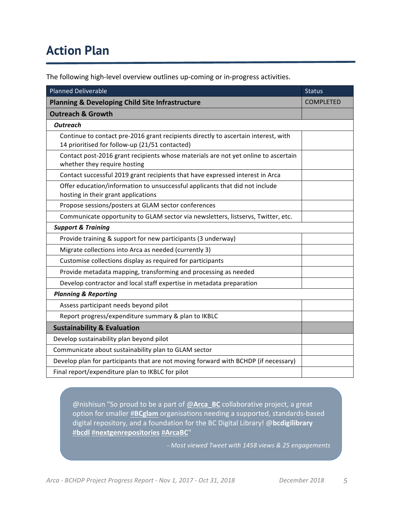## **Action Plan**

The following high-level overview outlines up-coming or in-progress activities.

| <b>Planned Deliverable</b>                                                                                                           | <b>Status</b>    |
|--------------------------------------------------------------------------------------------------------------------------------------|------------------|
| <b>Planning &amp; Developing Child Site Infrastructure</b>                                                                           | <b>COMPLETED</b> |
| <b>Outreach &amp; Growth</b>                                                                                                         |                  |
| <b>Outreach</b>                                                                                                                      |                  |
| Continue to contact pre-2016 grant recipients directly to ascertain interest, with<br>14 prioritised for follow-up (21/51 contacted) |                  |
| Contact post-2016 grant recipients whose materials are not yet online to ascertain<br>whether they require hosting                   |                  |
| Contact successful 2019 grant recipients that have expressed interest in Arca                                                        |                  |
| Offer education/information to unsuccessful applicants that did not include<br>hosting in their grant applications                   |                  |
| Propose sessions/posters at GLAM sector conferences                                                                                  |                  |
| Communicate opportunity to GLAM sector via newsletters, listservs, Twitter, etc.                                                     |                  |
| <b>Support &amp; Training</b>                                                                                                        |                  |
| Provide training & support for new participants (3 underway)                                                                         |                  |
| Migrate collections into Arca as needed (currently 3)                                                                                |                  |
| Customise collections display as required for participants                                                                           |                  |
| Provide metadata mapping, transforming and processing as needed                                                                      |                  |
| Develop contractor and local staff expertise in metadata preparation                                                                 |                  |
| <b>Planning &amp; Reporting</b>                                                                                                      |                  |
| Assess participant needs beyond pilot                                                                                                |                  |
| Report progress/expenditure summary & plan to IKBLC                                                                                  |                  |
| <b>Sustainability &amp; Evaluation</b>                                                                                               |                  |
| Develop sustainability plan beyond pilot                                                                                             |                  |
| Communicate about sustainability plan to GLAM sector                                                                                 |                  |
| Develop plan for participants that are not moving forward with BCHDP (if necessary)                                                  |                  |
| Final report/expenditure plan to IKBLC for pilot                                                                                     |                  |

@nishisun "So proud to be a part of @Arca\_BC collaborative project, a great option for smaller **#BCglam** organisations needing a supported, standards-based digital repository, and a foundation for the BC Digital Library! @bcdigilibrary #**bcdl** #**nextgenrepositories** #**ArcaBC**"

*- Most viewed Tweet with 1458 views & 25 engagements*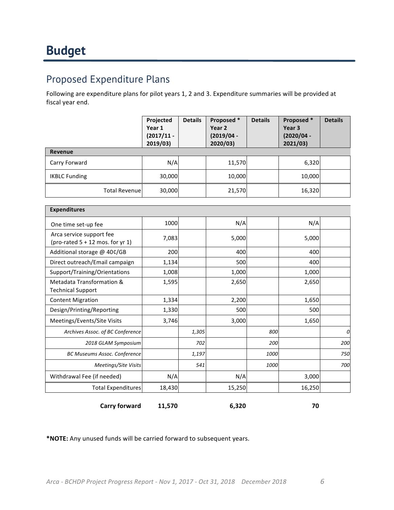### Proposed Expenditure Plans

Following are expenditure plans for pilot years 1, 2 and 3. Expenditure summaries will be provided at fiscal year end.

|                       | Projected<br>Year 1<br>$(2017/11 -$<br>2019/03) | <b>Details</b> | Proposed *<br>Year <sub>2</sub><br>$(2019/04 -$<br>2020/03) | <b>Details</b> | Proposed *<br>Year <sub>3</sub><br>$(2020/04 -$<br>2021/03 | <b>Details</b> |
|-----------------------|-------------------------------------------------|----------------|-------------------------------------------------------------|----------------|------------------------------------------------------------|----------------|
| Revenue               |                                                 |                |                                                             |                |                                                            |                |
| Carry Forward         | N/A                                             |                | 11,570                                                      |                | 6,320                                                      |                |
| <b>IKBLC Funding</b>  | 30,000                                          |                | 10,000                                                      |                | 10,000                                                     |                |
| <b>Total Revenuel</b> | 30,000                                          |                | 21,570                                                      |                | 16,320                                                     |                |

| <b>Expenditures</b>                                            |        |       |        |      |        |     |
|----------------------------------------------------------------|--------|-------|--------|------|--------|-----|
| One time set-up fee                                            | 1000   |       | N/A    |      | N/A    |     |
| Arca service support fee<br>(pro-rated $5 + 12$ mos. for yr 1) | 7,083  |       | 5,000  |      | 5,000  |     |
| Additional storage @ 40¢/GB                                    | 200    |       | 400    |      | 400    |     |
| Direct outreach/Email campaign                                 | 1,134  |       | 500    |      | 400    |     |
| Support/Training/Orientations                                  | 1,008  |       | 1,000  |      | 1,000  |     |
| Metadata Transformation &<br><b>Technical Support</b>          | 1,595  |       | 2,650  |      | 2,650  |     |
| <b>Content Migration</b>                                       | 1,334  |       | 2,200  |      | 1,650  |     |
| Design/Printing/Reporting                                      | 1,330  |       | 500    |      | 500    |     |
| Meetings/Events/Site Visits                                    | 3,746  |       | 3,000  |      | 1,650  |     |
| Archives Assoc. of BC Conference                               |        | 1,305 |        | 800  |        | 0   |
| 2018 GLAM Symposium                                            |        | 702   |        | 200  |        | 200 |
| <b>BC Museums Assoc. Conference</b>                            |        | 1,197 |        | 1000 |        | 750 |
| Meetings/Site Visits                                           |        | 541   |        | 1000 |        | 700 |
| Withdrawal Fee (if needed)                                     | N/A    |       | N/A    |      | 3,000  |     |
| <b>Total Expenditures</b>                                      | 18,430 |       | 15,250 |      | 16,250 |     |
| <b>Carry forward</b>                                           | 11,570 |       | 6,320  |      | 70     |     |

\*NOTE: Any unused funds will be carried forward to subsequent years.